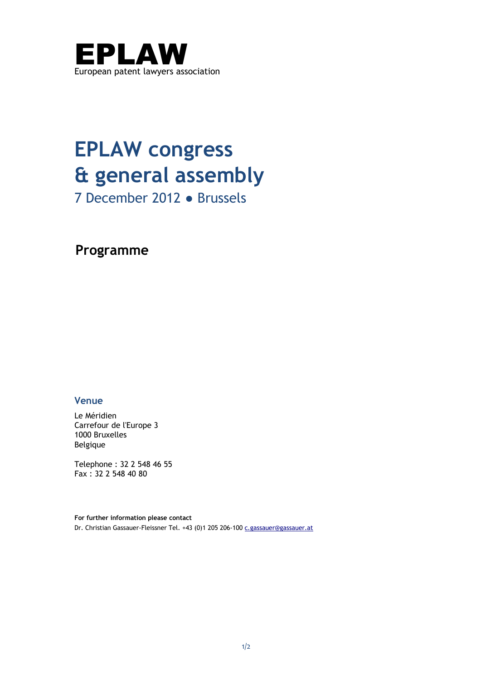

# **EPLAW congress & general assembly**

7 December 2012 ● Brussels

**Programme**

# **Venue**

Le Méridien Carrefour de l'Europe 3 1000 Bruxelles Belgique

Telephone : 32 2 548 46 55 Fax : 32 2 548 40 80

**For further information please contact** Dr. Christian Gassauer-Fleissner Tel. +43 (0)1 205 206-100 [c.gassauer@gassauer.at](mailto:c.gassauer@gassauer.at)